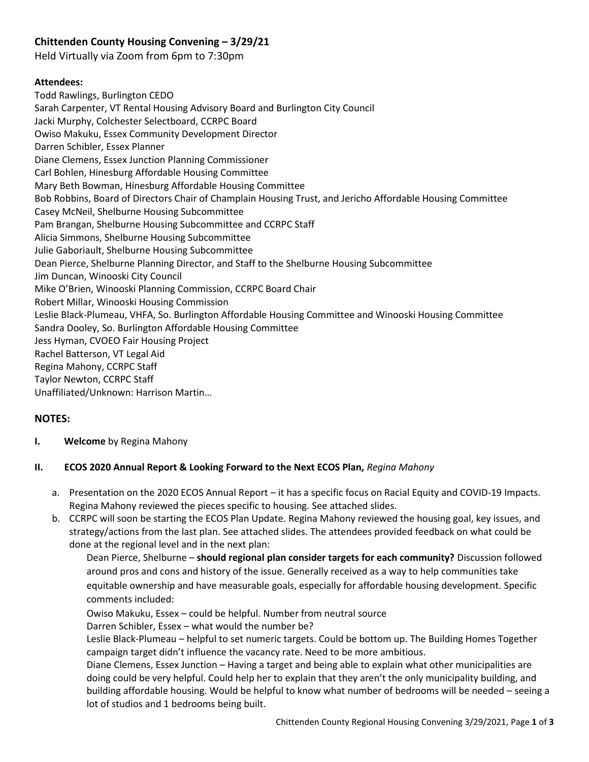# **Chittenden County Housing Convening – 3/29/21**

Held Virtually via Zoom from 6pm to 7:30pm

#### **Attendees:**

Todd Rawlings, Burlington CEDO Sarah Carpenter, VT Rental Housing Advisory Board and Burlington City Council Jacki Murphy, Colchester Selectboard, CCRPC Board Owiso Makuku, Essex Community Development Director Darren Schibler, Essex Planner Diane Clemens, Essex Junction Planning Commissioner Carl Bohlen, Hinesburg Affordable Housing Committee Mary Beth Bowman, Hinesburg Affordable Housing Committee Bob Robbins, Board of Directors Chair of Champlain Housing Trust, and Jericho Affordable Housing Committee Casey McNeil, Shelburne Housing Subcommittee Pam Brangan, Shelburne Housing Subcommittee and CCRPC Staff Alicia Simmons, Shelburne Housing Subcommittee Julie Gaboriault, Shelburne Housing Subcommittee Dean Pierce, Shelburne Planning Director, and Staff to the Shelburne Housing Subcommittee Jim Duncan, Winooski City Council Mike O'Brien, Winooski Planning Commission, CCRPC Board Chair Robert Millar, Winooski Housing Commission Leslie Black-Plumeau, VHFA, So. Burlington Affordable Housing Committee and Winooski Housing Committee Sandra Dooley, So. Burlington Affordable Housing Committee Jess Hyman, CVOEO Fair Housing Project Rachel Batterson, VT Legal Aid Regina Mahony, CCRPC Staff Taylor Newton, CCRPC Staff Unaffiliated/Unknown: Harrison Martin…

## **NOTES:**

## **I. Welcome** by Regina Mahony

## **II. ECOS 2020 Annual Report & Looking Forward to the Next ECOS Plan,** *Regina Mahony*

- a. Presentation on the 2020 ECOS Annual Report it has a specific focus on Racial Equity and COVID-19 Impacts. Regina Mahony reviewed the pieces specific to housing. See attached slides.
- b. CCRPC will soon be starting the ECOS Plan Update. Regina Mahony reviewed the housing goal, key issues, and strategy/actions from the last plan. See attached slides. The attendees provided feedback on what could be done at the regional level and in the next plan:

Dean Pierce, Shelburne – **should regional plan consider targets for each community?** Discussion followed around pros and cons and history of the issue. Generally received as a way to help communities take equitable ownership and have measurable goals, especially for affordable housing development. Specific comments included:

Owiso Makuku, Essex – could be helpful. Number from neutral source

Darren Schibler, Essex – what would the number be?

Leslie Black-Plumeau – helpful to set numeric targets. Could be bottom up. The Building Homes Together campaign target didn't influence the vacancy rate. Need to be more ambitious.

Diane Clemens, Essex Junction – Having a target and being able to explain what other municipalities are doing could be very helpful. Could help her to explain that they aren't the only municipality building, and building affordable housing. Would be helpful to know what number of bedrooms will be needed – seeing a lot of studios and 1 bedrooms being built.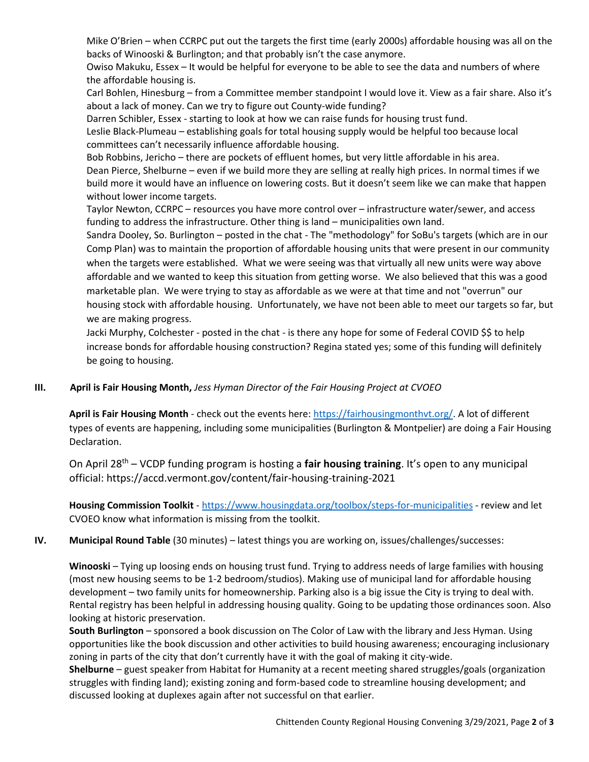Mike O'Brien – when CCRPC put out the targets the first time (early 2000s) affordable housing was all on the backs of Winooski & Burlington; and that probably isn't the case anymore.

Owiso Makuku, Essex – It would be helpful for everyone to be able to see the data and numbers of where the affordable housing is.

Carl Bohlen, Hinesburg – from a Committee member standpoint I would love it. View as a fair share. Also it's about a lack of money. Can we try to figure out County-wide funding?

Darren Schibler, Essex - starting to look at how we can raise funds for housing trust fund.

Leslie Black-Plumeau – establishing goals for total housing supply would be helpful too because local committees can't necessarily influence affordable housing.

Bob Robbins, Jericho – there are pockets of effluent homes, but very little affordable in his area. Dean Pierce, Shelburne – even if we build more they are selling at really high prices. In normal times if we build more it would have an influence on lowering costs. But it doesn't seem like we can make that happen without lower income targets.

Taylor Newton, CCRPC – resources you have more control over – infrastructure water/sewer, and access funding to address the infrastructure. Other thing is land – municipalities own land.

Sandra Dooley, So. Burlington – posted in the chat - The "methodology" for SoBu's targets (which are in our Comp Plan) was to maintain the proportion of affordable housing units that were present in our community when the targets were established. What we were seeing was that virtually all new units were way above affordable and we wanted to keep this situation from getting worse. We also believed that this was a good marketable plan. We were trying to stay as affordable as we were at that time and not "overrun" our housing stock with affordable housing. Unfortunately, we have not been able to meet our targets so far, but we are making progress.

Jacki Murphy, Colchester - posted in the chat - is there any hope for some of Federal COVID \$\$ to help increase bonds for affordable housing construction? Regina stated yes; some of this funding will definitely be going to housing.

## **III. April is Fair Housing Month,** *Jess Hyman Director of the Fair Housing Project at CVOEO*

**April is Fair Housing Month** - check out the events here: [https://fairhousingmonthvt.org/.](https://fairhousingmonthvt.org/) A lot of different types of events are happening, including some municipalities (Burlington & Montpelier) are doing a Fair Housing Declaration.

On April 28th – VCDP funding program is hosting a **fair housing training**. It's open to any municipal official: https://accd.vermont.gov/content/fair-housing-training-2021

**Housing Commission Toolkit** - <https://www.housingdata.org/toolbox/steps-for-municipalities> - review and let CVOEO know what information is missing from the toolkit.

## **IV. Municipal Round Table** (30 minutes) – latest things you are working on, issues/challenges/successes:

**Winooski** – Tying up loosing ends on housing trust fund. Trying to address needs of large families with housing (most new housing seems to be 1-2 bedroom/studios). Making use of municipal land for affordable housing development – two family units for homeownership. Parking also is a big issue the City is trying to deal with. Rental registry has been helpful in addressing housing quality. Going to be updating those ordinances soon. Also looking at historic preservation.

**South Burlington** – sponsored a book discussion on The Color of Law with the library and Jess Hyman. Using opportunities like the book discussion and other activities to build housing awareness; encouraging inclusionary zoning in parts of the city that don't currently have it with the goal of making it city-wide.

**Shelburne** – guest speaker from Habitat for Humanity at a recent meeting shared struggles/goals (organization struggles with finding land); existing zoning and form-based code to streamline housing development; and discussed looking at duplexes again after not successful on that earlier.